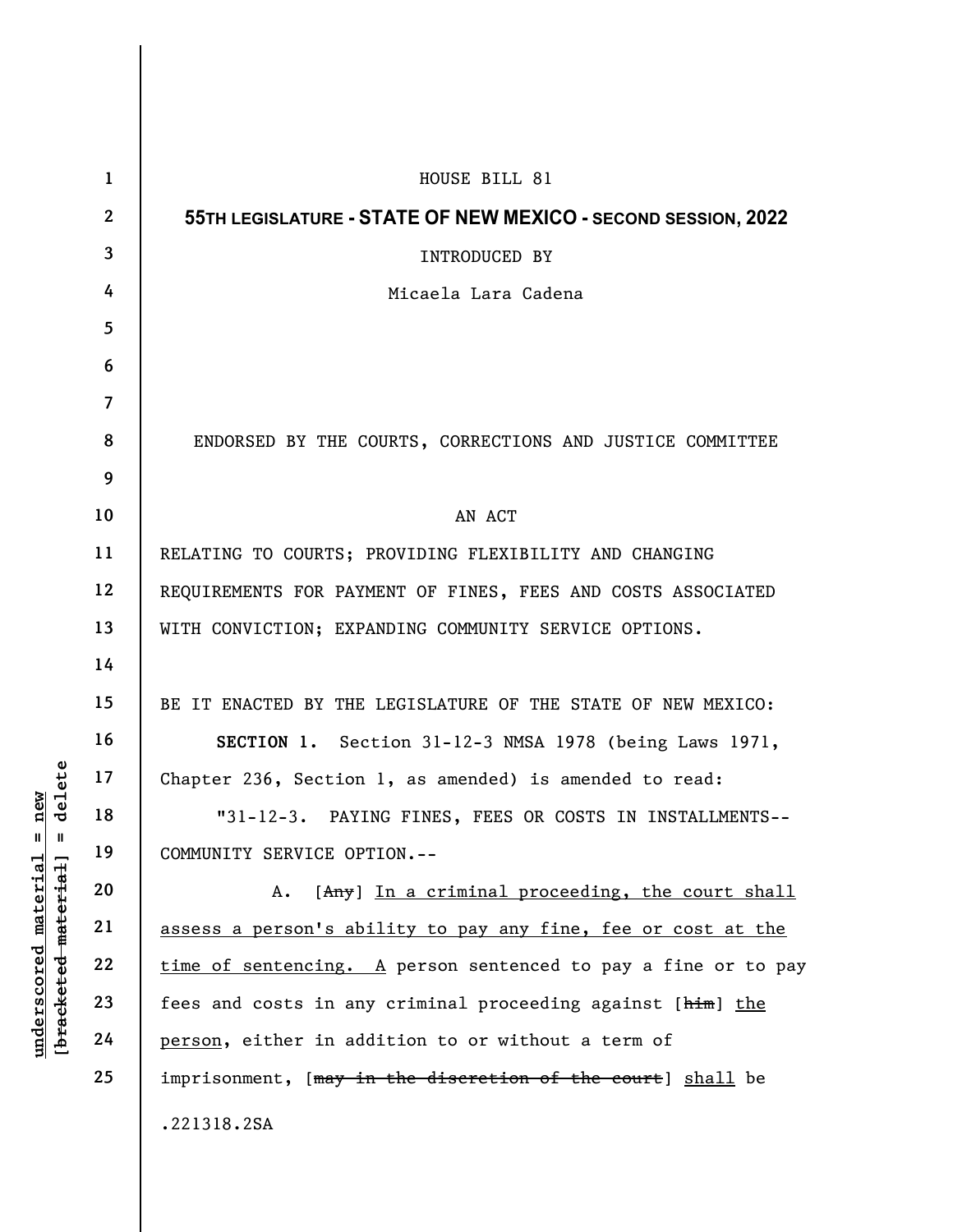|                                                                                                                  | $\mathbf{1}$   | HOUSE BILL 81                                                    |
|------------------------------------------------------------------------------------------------------------------|----------------|------------------------------------------------------------------|
| delete<br>new<br>$\mathbf{u}$<br>H<br>[ <del>bracketed material</del> ]<br><u>material</u><br><u>underscored</u> | $\mathbf{2}$   | 55TH LEGISLATURE - STATE OF NEW MEXICO - SECOND SESSION, 2022    |
|                                                                                                                  | $\mathbf{3}$   | INTRODUCED BY                                                    |
|                                                                                                                  | 4              | Micaela Lara Cadena                                              |
|                                                                                                                  | $5\phantom{.}$ |                                                                  |
|                                                                                                                  | 6              |                                                                  |
|                                                                                                                  | $\overline{7}$ |                                                                  |
|                                                                                                                  | 8              | ENDORSED BY THE COURTS, CORRECTIONS AND JUSTICE COMMITTEE        |
|                                                                                                                  | 9              |                                                                  |
|                                                                                                                  | 10             | AN ACT                                                           |
|                                                                                                                  | 11             | RELATING TO COURTS; PROVIDING FLEXIBILITY AND CHANGING           |
|                                                                                                                  | 12             | REQUIREMENTS FOR PAYMENT OF FINES, FEES AND COSTS ASSOCIATED     |
|                                                                                                                  | 13             | WITH CONVICTION; EXPANDING COMMUNITY SERVICE OPTIONS.            |
|                                                                                                                  | 14             |                                                                  |
|                                                                                                                  | 15             | BE IT ENACTED BY THE LEGISLATURE OF THE STATE OF NEW MEXICO:     |
|                                                                                                                  | 16             | SECTION 1. Section 31-12-3 NMSA 1978 (being Laws 1971,           |
|                                                                                                                  | 17             | Chapter 236, Section 1, as amended) is amended to read:          |
|                                                                                                                  | 18             | "31-12-3. PAYING FINES, FEES OR COSTS IN INSTALLMENTS--          |
|                                                                                                                  | 19             | COMMUNITY SERVICE OPTION.--                                      |
|                                                                                                                  | 20             | [Any] In a criminal proceeding, the court shall<br>Α.            |
|                                                                                                                  | 21             | assess a person's ability to pay any fine, fee or cost at the    |
|                                                                                                                  | 22             | $time$ of sentencing. A person sentenced to pay a fine or to pay |
|                                                                                                                  | 23             | fees and costs in any criminal proceeding against [him] the      |
|                                                                                                                  | 24             | person, either in addition to or without a term of               |
|                                                                                                                  | 25             | imprisonment, [may in the discretion of the court] shall be      |
|                                                                                                                  |                | .221318.2SA                                                      |
|                                                                                                                  |                |                                                                  |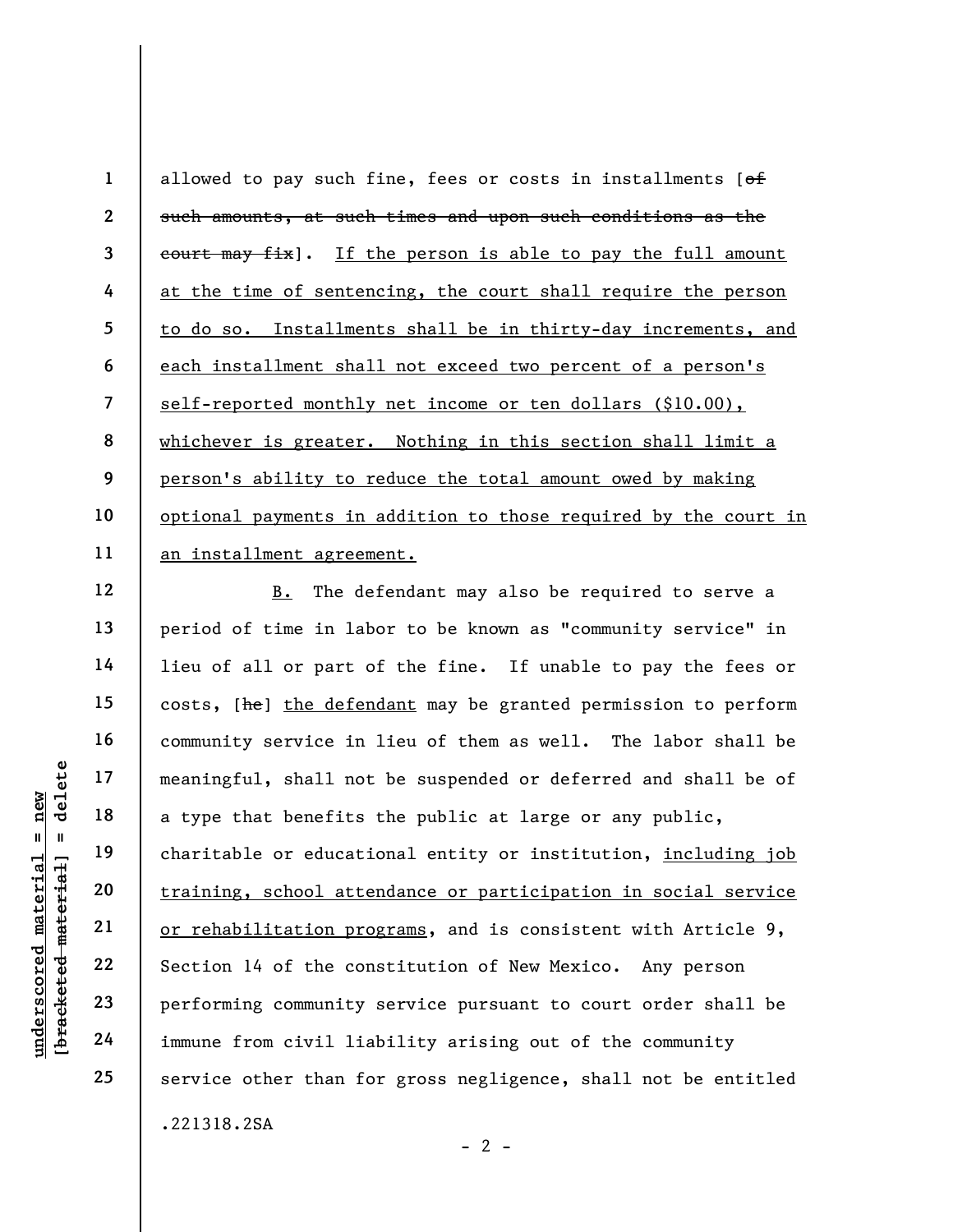1 2 3 4 5 6 7 8 9 10 11 allowed to pay such fine, fees or costs in installments  $[ $\theta$  f]$ such amounts, at such times and upon such conditions as the court may fix]. If the person is able to pay the full amount at the time of sentencing, the court shall require the person to do so. Installments shall be in thirty-day increments, and each installment shall not exceed two percent of a person's self-reported monthly net income or ten dollars (\$10.00), whichever is greater. Nothing in this section shall limit a person's ability to reduce the total amount owed by making optional payments in addition to those required by the court in an installment agreement.

under 17<br>
a meaningful, shall not<br>
a type that benefits<br>
a type that benefits<br>
charitable or educati<br>
training, school atte<br>
internal training, school atte<br>
21<br>
22<br>
section 14 of the con<br>
performing community<br>
24<br>
immune f B. The defendant may also be required to serve a period of time in labor to be known as "community service" in lieu of all or part of the fine. If unable to pay the fees or costs, [he] the defendant may be granted permission to perform community service in lieu of them as well. The labor shall be meaningful, shall not be suspended or deferred and shall be of a type that benefits the public at large or any public, charitable or educational entity or institution, including job training, school attendance or participation in social service or rehabilitation programs, and is consistent with Article 9, Section 14 of the constitution of New Mexico. Any person performing community service pursuant to court order shall be immune from civil liability arising out of the community service other than for gross negligence, shall not be entitled .221318.2SA

12

13

14

15

16

17

18

19

20

21

22

23

24

25

 $- 2 -$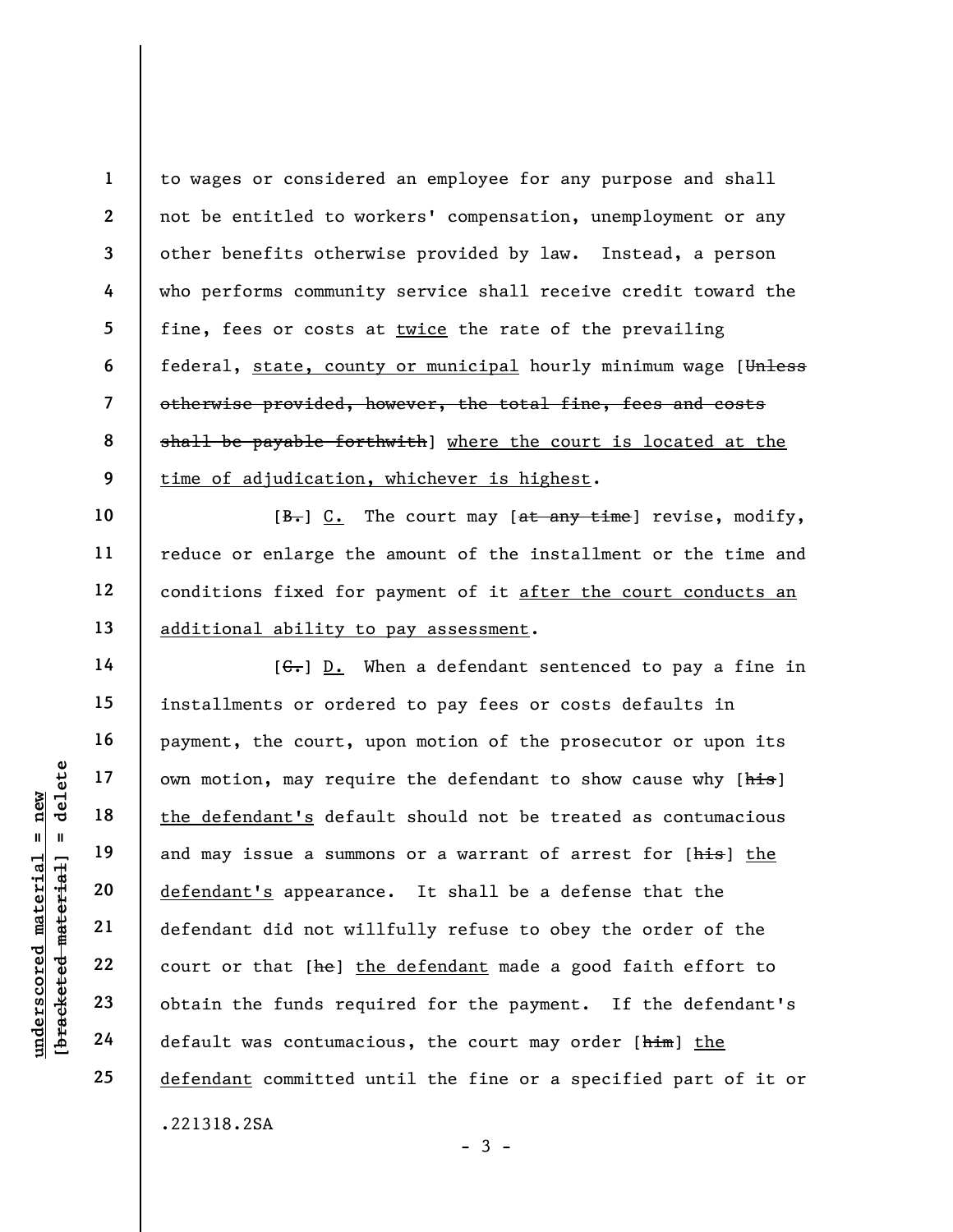1 2 3 4 5 6 7 8 9 to wages or considered an employee for any purpose and shall not be entitled to workers' compensation, unemployment or any other benefits otherwise provided by law. Instead, a person who performs community service shall receive credit toward the fine, fees or costs at twice the rate of the prevailing federal, state, county or municipal hourly minimum wage [Unless otherwise provided, however, the total fine, fees and costs shall be payable forthwith] where the court is located at the time of adjudication, whichever is highest.

 $[\frac{B-}{C}]\subset$ . The court may  $[\frac{A+}{C}]\times[\frac{B+}{C}]$  revise, modify, reduce or enlarge the amount of the installment or the time and conditions fixed for payment of it after the court conducts an additional ability to pay assessment.

underscored material = new [bracketed material] = delete  $[G<sub>r</sub>]$  D. When a defendant sentenced to pay a fine in installments or ordered to pay fees or costs defaults in payment, the court, upon motion of the prosecutor or upon its own motion, may require the defendant to show cause why [his] the defendant's default should not be treated as contumacious and may issue a summons or a warrant of arrest for [his] the defendant's appearance. It shall be a defense that the defendant did not willfully refuse to obey the order of the court or that [he] the defendant made a good faith effort to obtain the funds required for the payment. If the defendant's default was contumacious, the court may order [him] the defendant committed until the fine or a specified part of it or .221318.2SA

 $-3 -$ 

10

11

12

13

14

15

16

17

18

19

20

21

22

23

24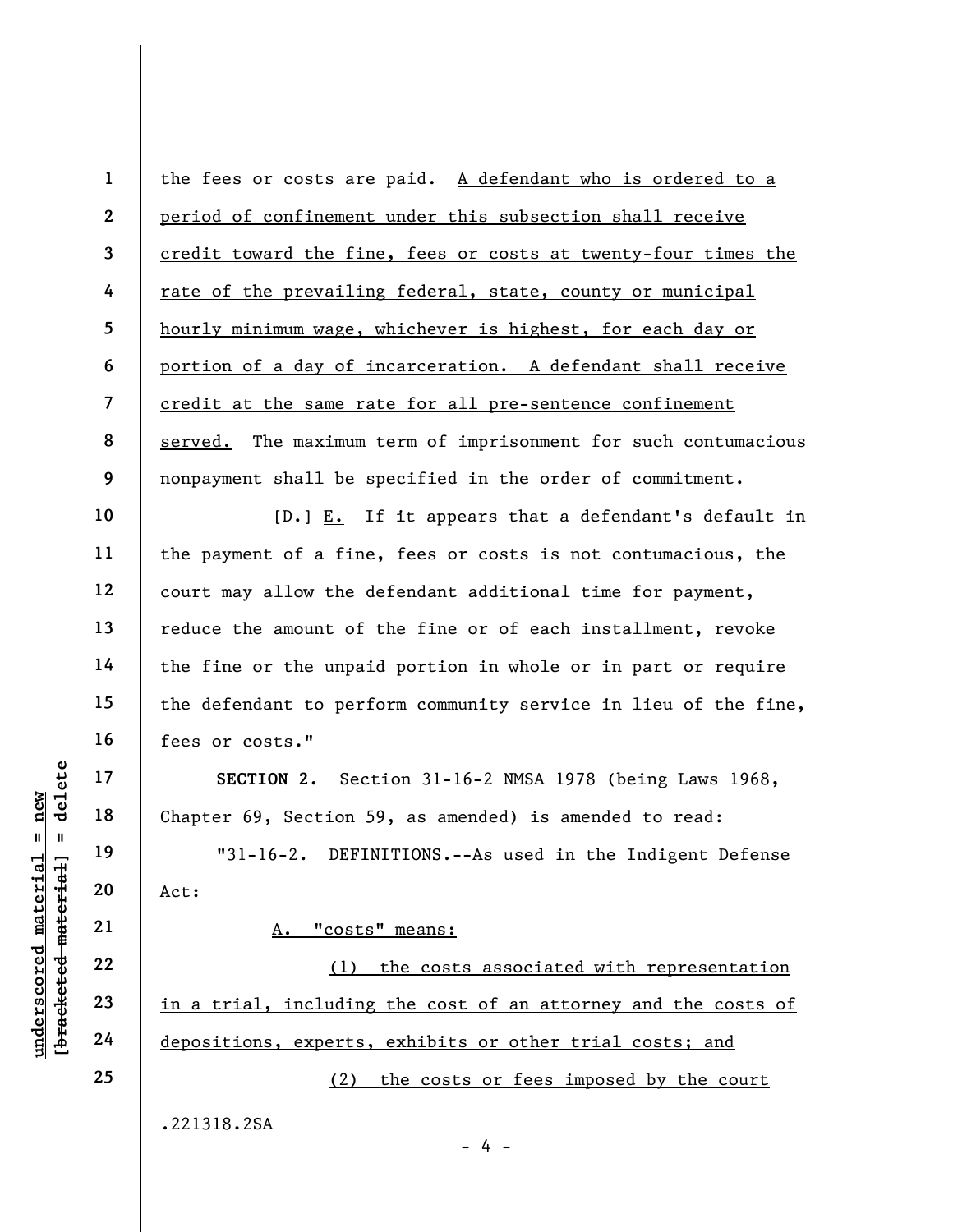1 2 3 4 5 6 7 8 9 the fees or costs are paid. A defendant who is ordered to a period of confinement under this subsection shall receive credit toward the fine, fees or costs at twenty-four times the rate of the prevailing federal, state, county or municipal hourly minimum wage, whichever is highest, for each day or portion of a day of incarceration. A defendant shall receive credit at the same rate for all pre-sentence confinement served. The maximum term of imprisonment for such contumacious nonpayment shall be specified in the order of commitment.

 $[\frac{1}{n}]$  E. If it appears that a defendant's default in the payment of a fine, fees or costs is not contumacious, the court may allow the defendant additional time for payment, reduce the amount of the fine or of each installment, revoke the fine or the unpaid portion in whole or in part or require the defendant to perform community service in lieu of the fine, fees or costs."

SECTION 2. Section 31-16-2 NMSA 1978 (being Laws 1968, Chapter 69, Section 59, as amended) is amended to read:

"31-16-2. DEFINITIONS.--As used in the Indigent Defense Act:

A. "costs" means:

underscored material = new [bracketed material] = delete (1) the costs associated with representation in a trial, including the cost of an attorney and the costs of depositions, experts, exhibits or other trial costs; and (2) the costs or fees imposed by the court

- 4 -

.221318.2SA

10

11

12

13

14

15

16

17

18

19

20

21

22

23

24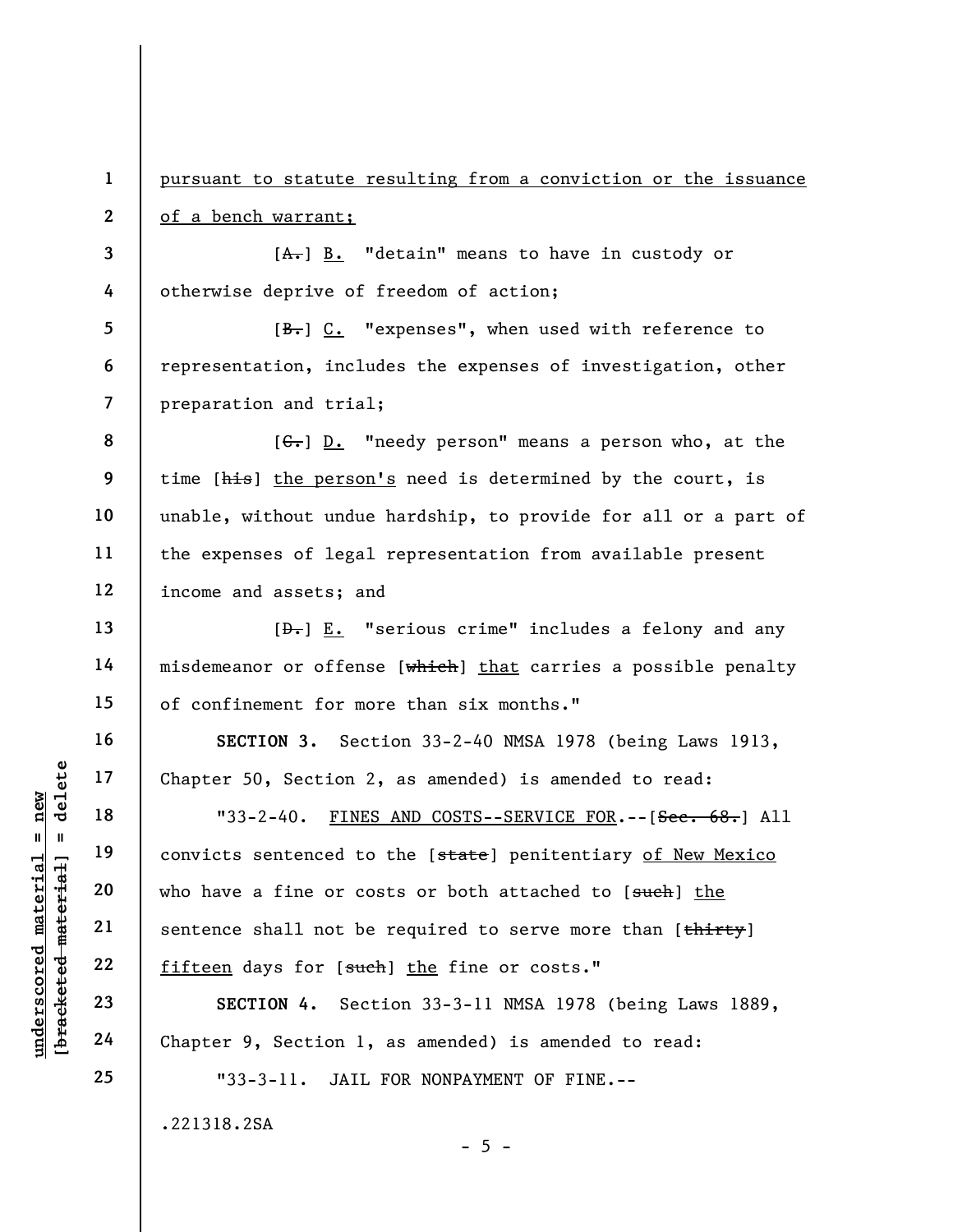pursuant to statute resulting from a conviction or the issuance of a bench warrant;

3 4  $[A<sub>+</sub>]$  B. "detain" means to have in custody or otherwise deprive of freedom of action;

5 6 7 [B.] C. "expenses", when used with reference to representation, includes the expenses of investigation, other preparation and trial;

8 9 10 11 12  $[G<sub>r</sub>]$  D. "needy person" means a person who, at the time [his] the person's need is determined by the court, is unable, without undue hardship, to provide for all or a part of the expenses of legal representation from available present income and assets; and

 $[\frac{D-1}{2}]$  E. "serious crime" includes a felony and any misdemeanor or offense [which] that carries a possible penalty of confinement for more than six months."

SECTION 3. Section 33-2-40 NMSA 1978 (being Laws 1913, Chapter 50, Section 2, as amended) is amended to read:

UNESTRUES OF SECTION 4. Section 19<br>
Wednesday of the Material of the Material of the Material and the Material of the Material 23<br>
UNESTRUES SECTION 4. Section 1,<br>
The Material of the Material and the SECTION 4. Section 1, "33-2-40. FINES AND COSTS--SERVICE FOR.--[Sec. 68.] All convicts sentenced to the [state] penitentiary of New Mexico who have a fine or costs or both attached to [such] the sentence shall not be required to serve more than [thirty] fifteen days for [such] the fine or costs."

SECTION 4. Section 33-3-11 NMSA 1978 (being Laws 1889, Chapter 9, Section 1, as amended) is amended to read:

 $- 5 -$ 

"33-3-11. JAIL FOR NONPAYMENT OF FINE.--

.221318.2SA

1

2

13

14

15

16

17

18

19

20

21

22

23

24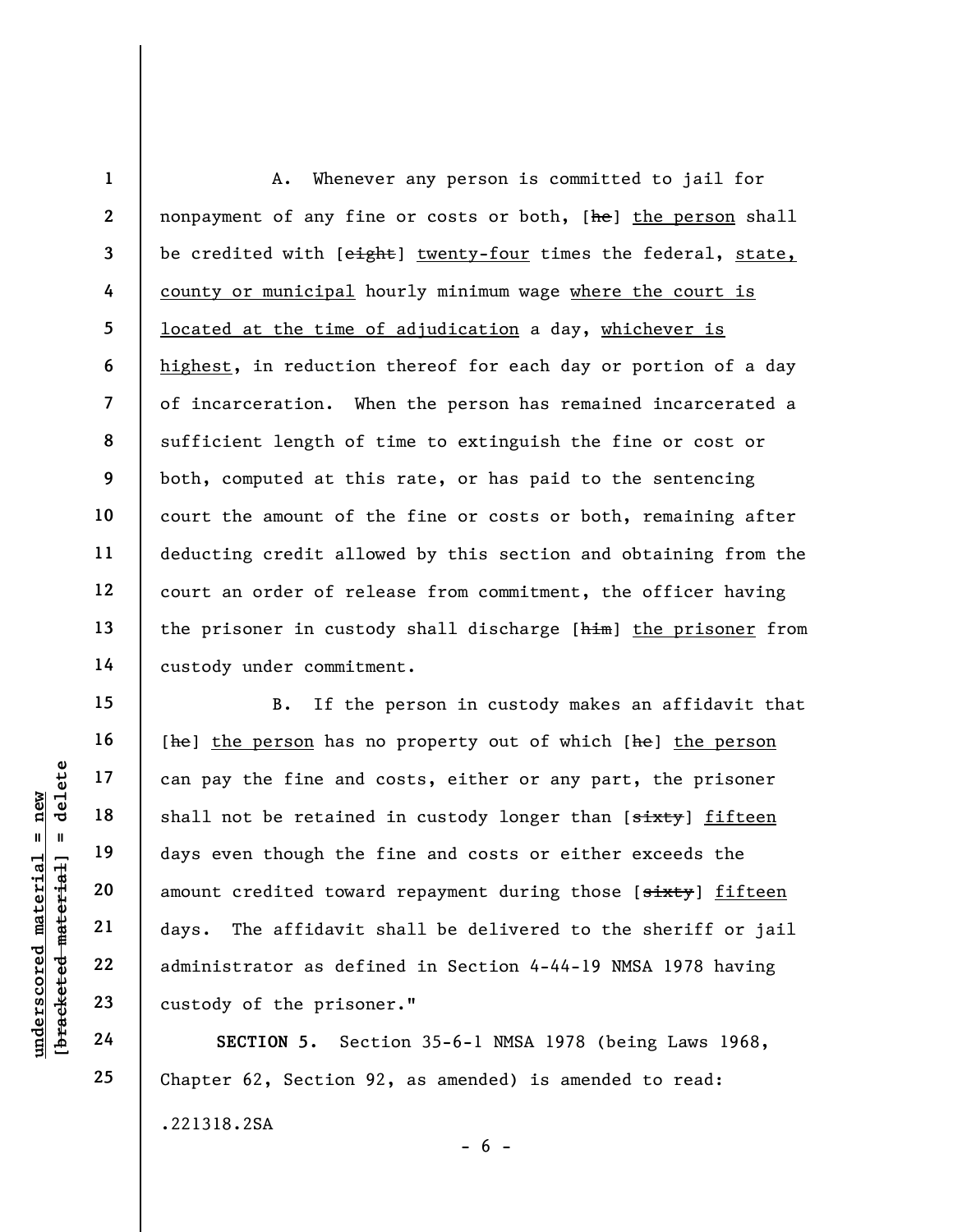1 2 3 4 5 6 7 8 9 10 11 12 13 14 A. Whenever any person is committed to jail for nonpayment of any fine or costs or both, [he] the person shall be credited with [eight] twenty-four times the federal, state, county or municipal hourly minimum wage where the court is located at the time of adjudication a day, whichever is highest, in reduction thereof for each day or portion of a day of incarceration. When the person has remained incarcerated a sufficient length of time to extinguish the fine or cost or both, computed at this rate, or has paid to the sentencing court the amount of the fine or costs or both, remaining after deducting credit allowed by this section and obtaining from the court an order of release from commitment, the officer having the prisoner in custody shall discharge [him] the prisoner from custody under commitment.

understand material can pay the fine and<br>
shall not be retained<br>
days even though the<br>
amount credited towar<br>
amount credited towar<br>
days. The affidavit<br>
22<br>
daministrator as defi<br>
23<br>
custody of the prison<br>
24<br>
SECTION 5. B. If the person in custody makes an affidavit that [he] the person has no property out of which [he] the person can pay the fine and costs, either or any part, the prisoner shall not be retained in custody longer than [sixty] fifteen days even though the fine and costs or either exceeds the amount credited toward repayment during those [sixty] fifteen days. The affidavit shall be delivered to the sheriff or jail administrator as defined in Section 4-44-19 NMSA 1978 having custody of the prisoner."

SECTION 5. Section 35-6-1 NMSA 1978 (being Laws 1968, Chapter 62, Section 92, as amended) is amended to read: .221318.2SA  $- 6 -$ 

15

16

17

18

19

20

21

22

23

24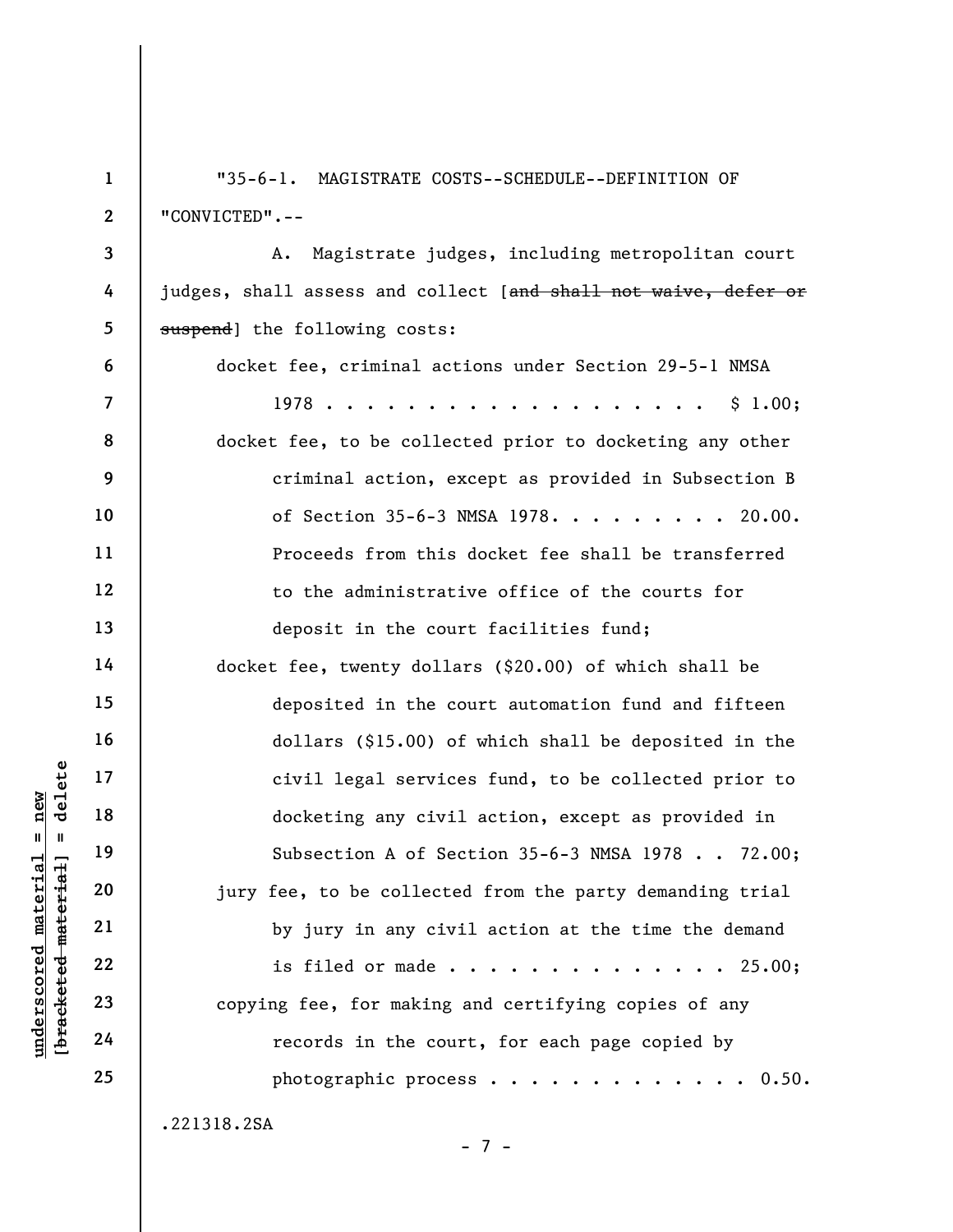underscored material material of the subsection<br>  $\begin{array}{ccc}\n\text{a} & \text{b} & \text{c}}\n\text{b} & \text{d} & \text{d} & \text{d} & \text{d} \\
\text{d} & \text{e} & \text{f} & \text{f} & \text{g} & \text{d} \\
\text{d} & \text{f} & \text{g} & \text{g} & \text{g} & \text{g} \\
\text{e} & \text{f} & \text{g} & \text{g} & \text{g} & \text{g} & \text{g} \\
\$ 1 2 3 4 5 6 7 8 9 10 11 12 13 14 15 16 17 18 19 20 21 22 23 24 25 "35-6-1. MAGISTRATE COSTS--SCHEDULE--DEFINITION OF "CONVICTED".-- A. Magistrate judges, including metropolitan court judges, shall assess and collect [and shall not waive, defer or suspend] the following costs: docket fee, criminal actions under Section 29-5-1 NMSA 1978 . . . . . . . . . . . . . . . . . . . \$ 1.00; docket fee, to be collected prior to docketing any other criminal action, except as provided in Subsection B of Section 35-6-3 NMSA 1978. . . . . . . . . 20.00. Proceeds from this docket fee shall be transferred to the administrative office of the courts for deposit in the court facilities fund; docket fee, twenty dollars (\$20.00) of which shall be deposited in the court automation fund and fifteen dollars (\$15.00) of which shall be deposited in the civil legal services fund, to be collected prior to docketing any civil action, except as provided in Subsection A of Section 35-6-3 NMSA 1978 . . 72.00; jury fee, to be collected from the party demanding trial by jury in any civil action at the time the demand is filed or made . . . . . . . . . . . . . . 25.00; copying fee, for making and certifying copies of any records in the court, for each page copied by photographic process  $\ldots$  . . . . . . . . . . 0.50. .221318.2SA

- 7 -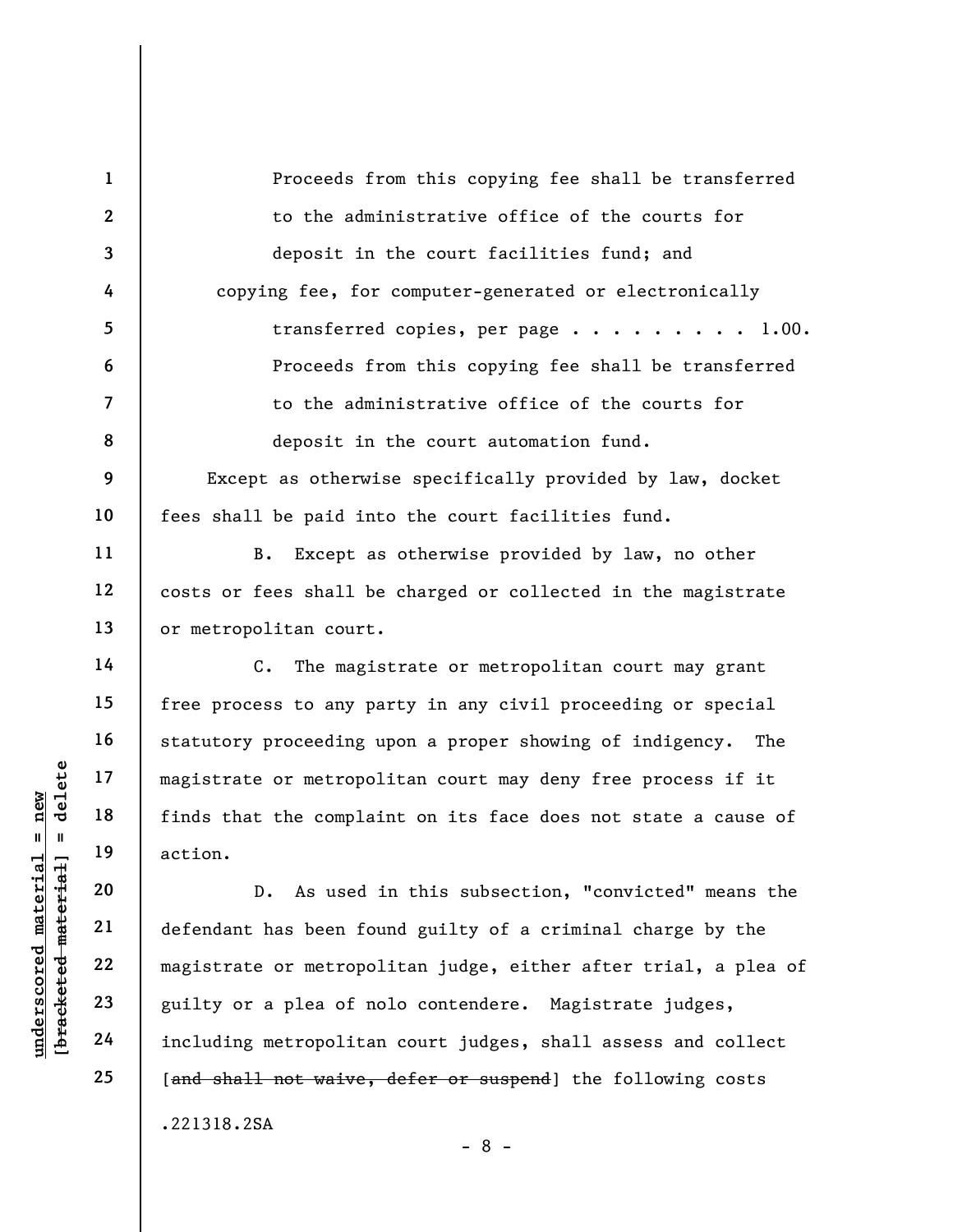1 2 3 4 5 6 7 8 9 10 11 12 13 14 15 16 17 18 19 Proceeds from this copying fee shall be transferred to the administrative office of the courts for deposit in the court facilities fund; and copying fee, for computer-generated or electronically transferred copies, per page  $\ldots \ldots \ldots$  . 1.00. Proceeds from this copying fee shall be transferred to the administrative office of the courts for deposit in the court automation fund. Except as otherwise specifically provided by law, docket fees shall be paid into the court facilities fund. B. Except as otherwise provided by law, no other costs or fees shall be charged or collected in the magistrate or metropolitan court. C. The magistrate or metropolitan court may grant free process to any party in any civil proceeding or special statutory proceeding upon a proper showing of indigency. The magistrate or metropolitan court may deny free process if it finds that the complaint on its face does not state a cause of action.

underscored material = new [bracketed material] = delete D. As used in this subsection, "convicted" means the defendant has been found guilty of a criminal charge by the magistrate or metropolitan judge, either after trial, a plea of guilty or a plea of nolo contendere. Magistrate judges, including metropolitan court judges, shall assess and collect [and shall not waive, defer or suspend] the following costs .221318.2SA

- 8 -

20

21

22

23

24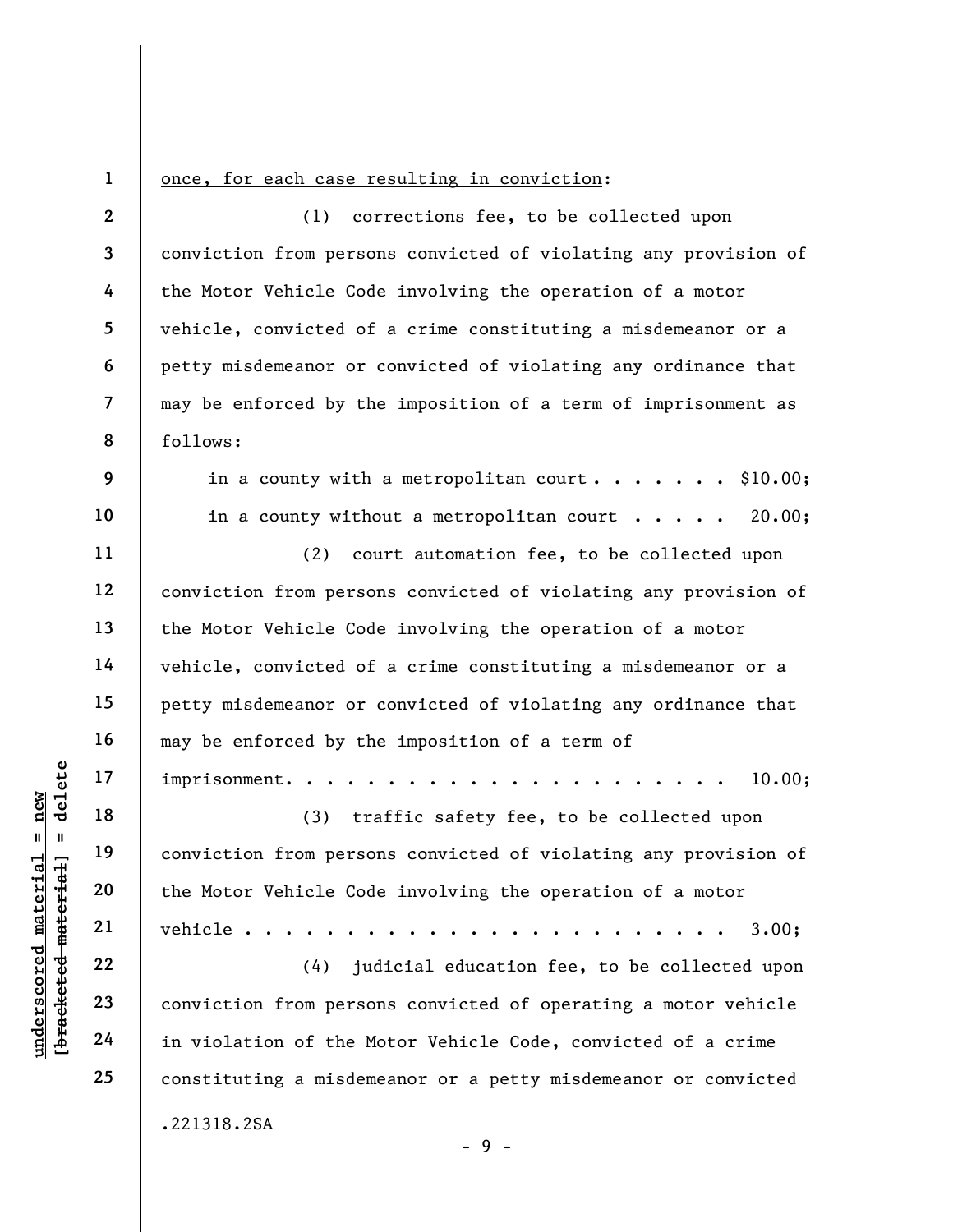1

9

10

11

12

13

14

15

16

17

18

19

20

21

22

23

24

25

## once, for each case resulting in conviction:

2 3 4 5 6 7 8 (1) corrections fee, to be collected upon conviction from persons convicted of violating any provision of the Motor Vehicle Code involving the operation of a motor vehicle, convicted of a crime constituting a misdemeanor or a petty misdemeanor or convicted of violating any ordinance that may be enforced by the imposition of a term of imprisonment as follows:

> in a county with a metropolitan court. . . . . . \$10.00; in a county without a metropolitan court  $\cdots$  . . . 20.00;

(2) court automation fee, to be collected upon conviction from persons convicted of violating any provision of the Motor Vehicle Code involving the operation of a motor vehicle, convicted of a crime constituting a misdemeanor or a petty misdemeanor or convicted of violating any ordinance that may be enforced by the imposition of a term of imprisonment. . . . . . . . . . . . . . . . . . . . . . 10.00;

 $\begin{array}{c|c|c} \mathbf{u} & \mathbf{u} & \mathbf{u} & \mathbf{v} & \mathbf{v} & \mathbf{v} & \mathbf{v} & \mathbf{v} & \mathbf{v} & \mathbf{v} & \mathbf{v} & \mathbf{v} & \mathbf{v} & \mathbf{v} & \mathbf{v} & \mathbf{v} & \mathbf{v} & \mathbf{v} & \mathbf{v} & \mathbf{v} & \mathbf{v} & \mathbf{v} & \mathbf{v} & \mathbf{v} & \mathbf{v} & \mathbf{v} & \mathbf{v} & \mathbf{v} & \mathbf{v} & \mathbf{v}$ (3) traffic safety fee, to be collected upon conviction from persons convicted of violating any provision of the Motor Vehicle Code involving the operation of a motor vehicle . . . . . . . . . . . . . . . . . . . . . . . . 3.00;

(4) judicial education fee, to be collected upon conviction from persons convicted of operating a motor vehicle in violation of the Motor Vehicle Code, convicted of a crime constituting a misdemeanor or a petty misdemeanor or convicted .221318.2SA

- 9 -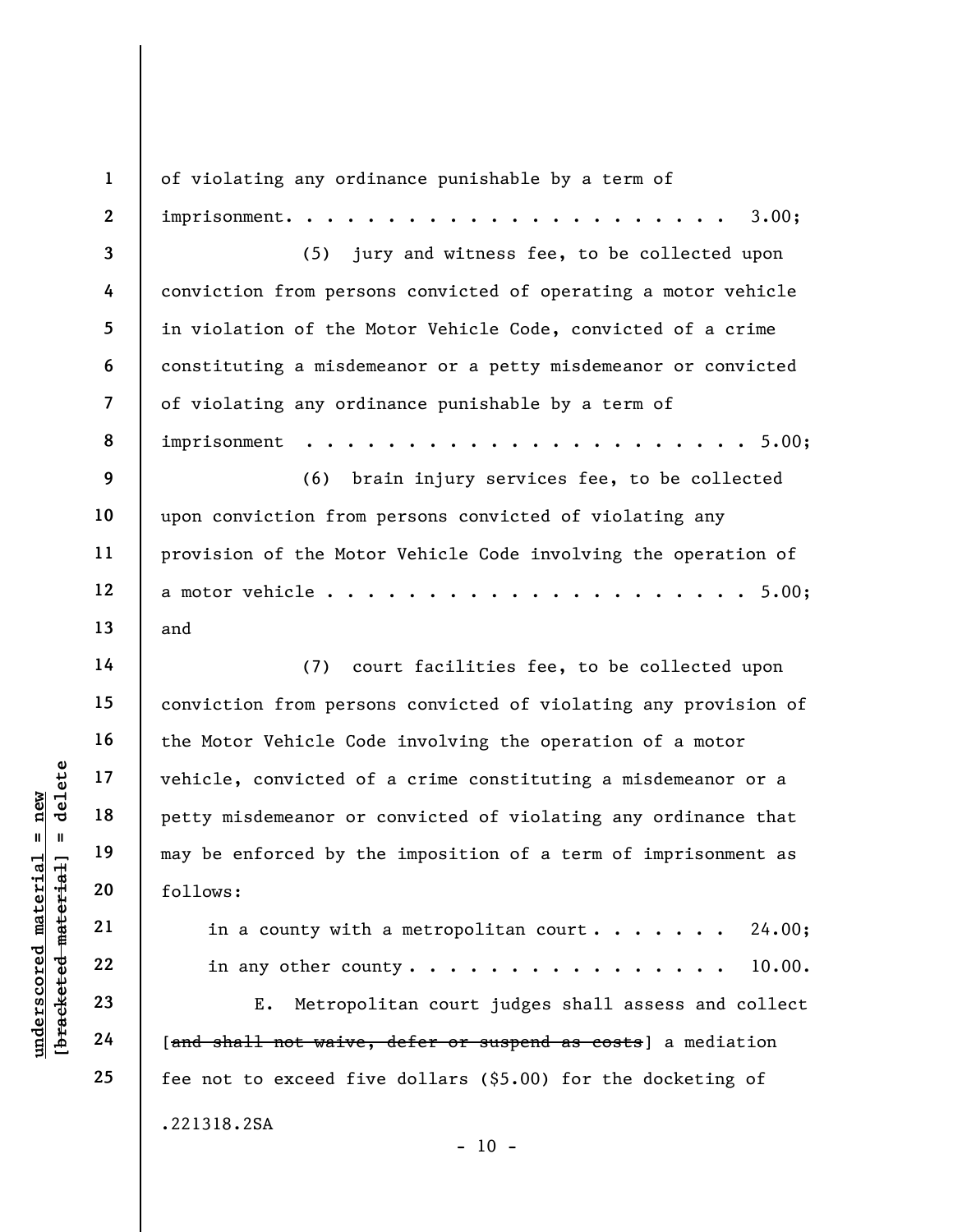understand material material end of the set of petty misdemeanor or<br>
may be enforced by the<br>
set of  $\begin{array}{ccc} 19 & 19 & 10 \\ 20 & 21 & 10 \\ 22 & 10 & 10 \\ 23 & 24 & 24 \end{array}$  and shall not waive, 1 2 3 4 5 6 7 8 9 10 11 12 13 14 15 16 17 18 19 20 21 22 23 of violating any ordinance punishable by a term of  $\texttt{imprisomment.}\quad.\quad.\quad.\quad.\quad.\quad.\quad.\quad.\quad.\quad.\quad.\quad.\quad.\quad.\quad.\quad.\quad.\quad.$ (5) jury and witness fee, to be collected upon conviction from persons convicted of operating a motor vehicle in violation of the Motor Vehicle Code, convicted of a crime constituting a misdemeanor or a petty misdemeanor or convicted of violating any ordinance punishable by a term of imprisonment . . . . . . . . . . . . . . . . . . . . . . 5.00; (6) brain injury services fee, to be collected upon conviction from persons convicted of violating any provision of the Motor Vehicle Code involving the operation of a motor vehicle . . . . . . . . . . . . . . . . . . . . . 5.00; and (7) court facilities fee, to be collected upon conviction from persons convicted of violating any provision of the Motor Vehicle Code involving the operation of a motor vehicle, convicted of a crime constituting a misdemeanor or a petty misdemeanor or convicted of violating any ordinance that may be enforced by the imposition of a term of imprisonment as follows: in a county with a metropolitan court  $\cdots$  . . . . . 24.00; in any other county.  $\cdots$  . . . . . . . . . . . . 10.00. E. Metropolitan court judges shall assess and collect

[and shall not waive, defer or suspend as costs] a mediation fee not to exceed five dollars (\$5.00) for the docketing of .221318.2SA  $- 10 -$ 

24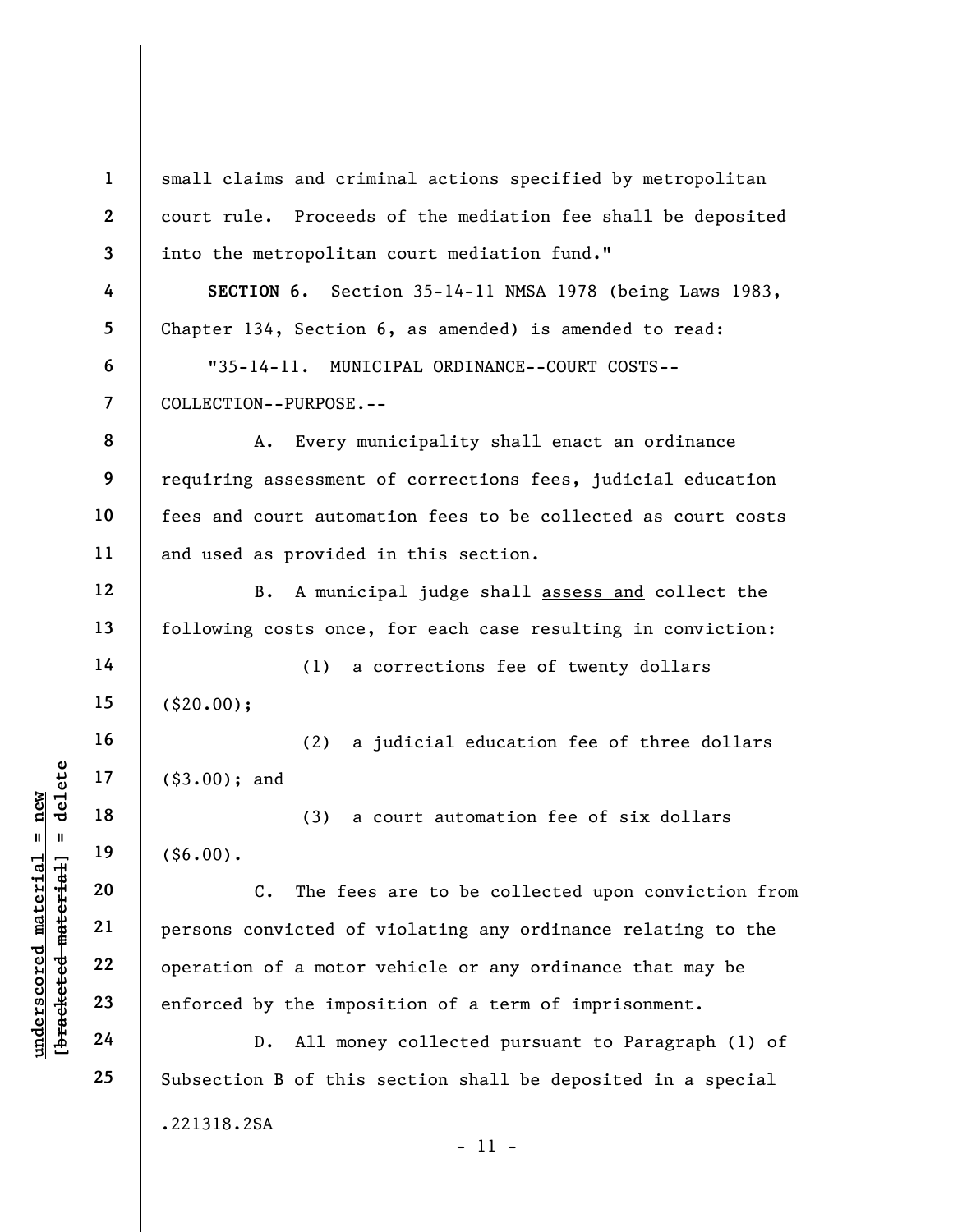$\begin{array}{c|c|c|c} \mathbf{u} & \mathbf{u} & \mathbf{u} & \mathbf{v} & \mathbf{v} \\ \hline \mathbf{u} & \mathbf{u} & \mathbf{u} & \mathbf{u} & \mathbf{v} \\ \hline \mathbf{u} & \mathbf{u} & \mathbf{u} & \mathbf{u} & \mathbf{v} \\ \hline \mathbf{u} & \mathbf{u} & \mathbf{u} & \mathbf{u} & \mathbf{v} \\ \hline \mathbf{u} & \mathbf{u} & \mathbf{u} & \mathbf{v} & \mathbf{v} \\ \hline \mathbf{u} & \mathbf{u} & \mathbf$ 1 2 3 4 5 6 7 8 9 10 11 12 13 14 15 16 17 18 19 20 21 22 23 24 25 small claims and criminal actions specified by metropolitan court rule. Proceeds of the mediation fee shall be deposited into the metropolitan court mediation fund." SECTION 6. Section 35-14-11 NMSA 1978 (being Laws 1983, Chapter 134, Section 6, as amended) is amended to read: "35-14-11. MUNICIPAL ORDINANCE--COURT COSTS-- COLLECTION--PURPOSE.-- A. Every municipality shall enact an ordinance requiring assessment of corrections fees, judicial education fees and court automation fees to be collected as court costs and used as provided in this section. B. A municipal judge shall assess and collect the following costs once, for each case resulting in conviction: (1) a corrections fee of twenty dollars (\$20.00); (2) a judicial education fee of three dollars (\$3.00); and (3) a court automation fee of six dollars  $($ \$6.00). C. The fees are to be collected upon conviction from persons convicted of violating any ordinance relating to the operation of a motor vehicle or any ordinance that may be enforced by the imposition of a term of imprisonment. D. All money collected pursuant to Paragraph (1) of Subsection B of this section shall be deposited in a special .221318.2SA

- 11 -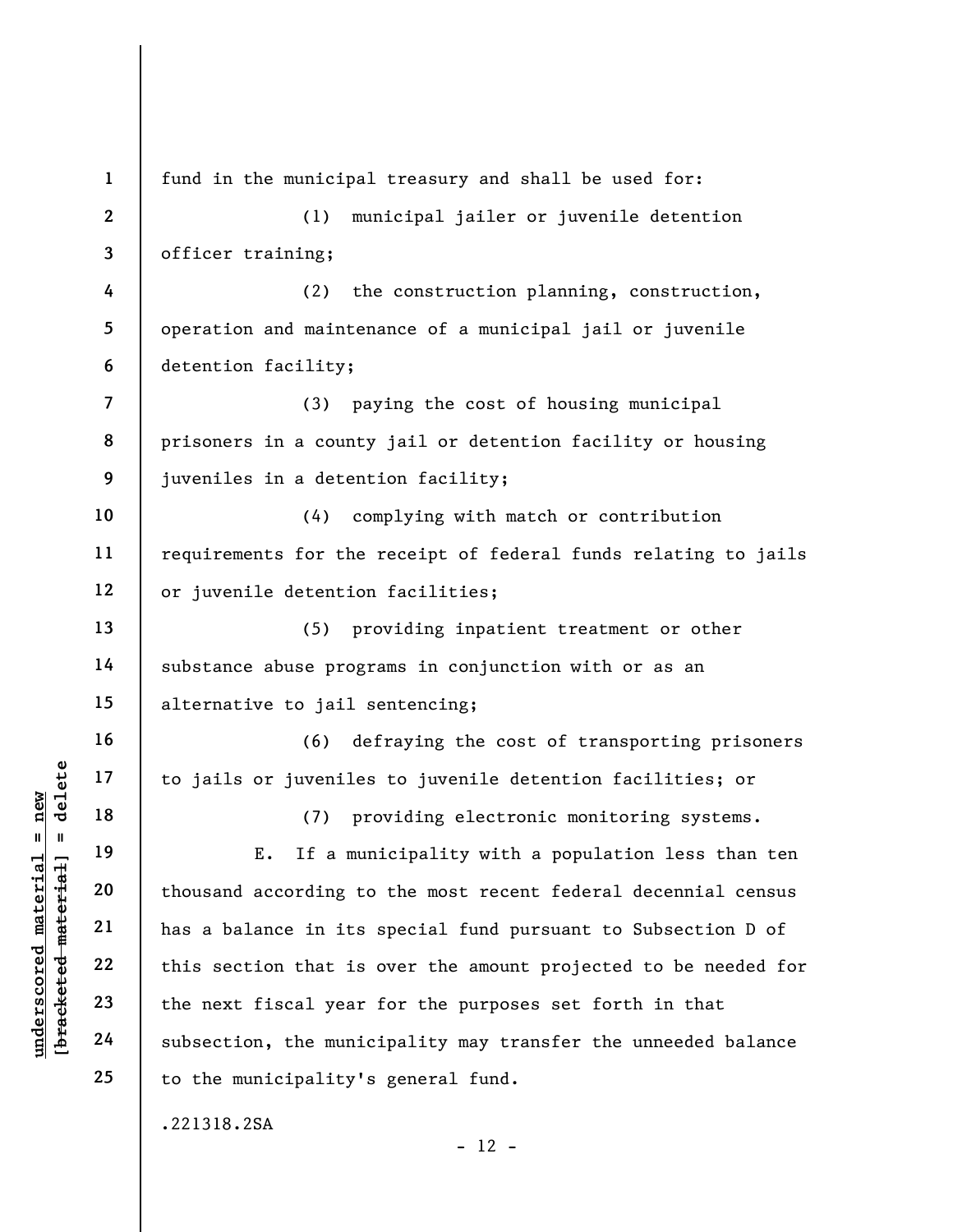underscored material = new [bracketed material] = delete 1 2 3 4 5 6 7 8 9 10 11 12 13 14 15 16 17 18 19 20 21 22 23 24 25 fund in the municipal treasury and shall be used for: (1) municipal jailer or juvenile detention officer training; (2) the construction planning, construction, operation and maintenance of a municipal jail or juvenile detention facility; (3) paying the cost of housing municipal prisoners in a county jail or detention facility or housing juveniles in a detention facility; (4) complying with match or contribution requirements for the receipt of federal funds relating to jails or juvenile detention facilities; (5) providing inpatient treatment or other substance abuse programs in conjunction with or as an alternative to jail sentencing; (6) defraying the cost of transporting prisoners to jails or juveniles to juvenile detention facilities; or (7) providing electronic monitoring systems. E. If a municipality with a population less than ten thousand according to the most recent federal decennial census has a balance in its special fund pursuant to Subsection D of this section that is over the amount projected to be needed for the next fiscal year for the purposes set forth in that subsection, the municipality may transfer the unneeded balance to the municipality's general fund. .221318.2SA  $- 12 -$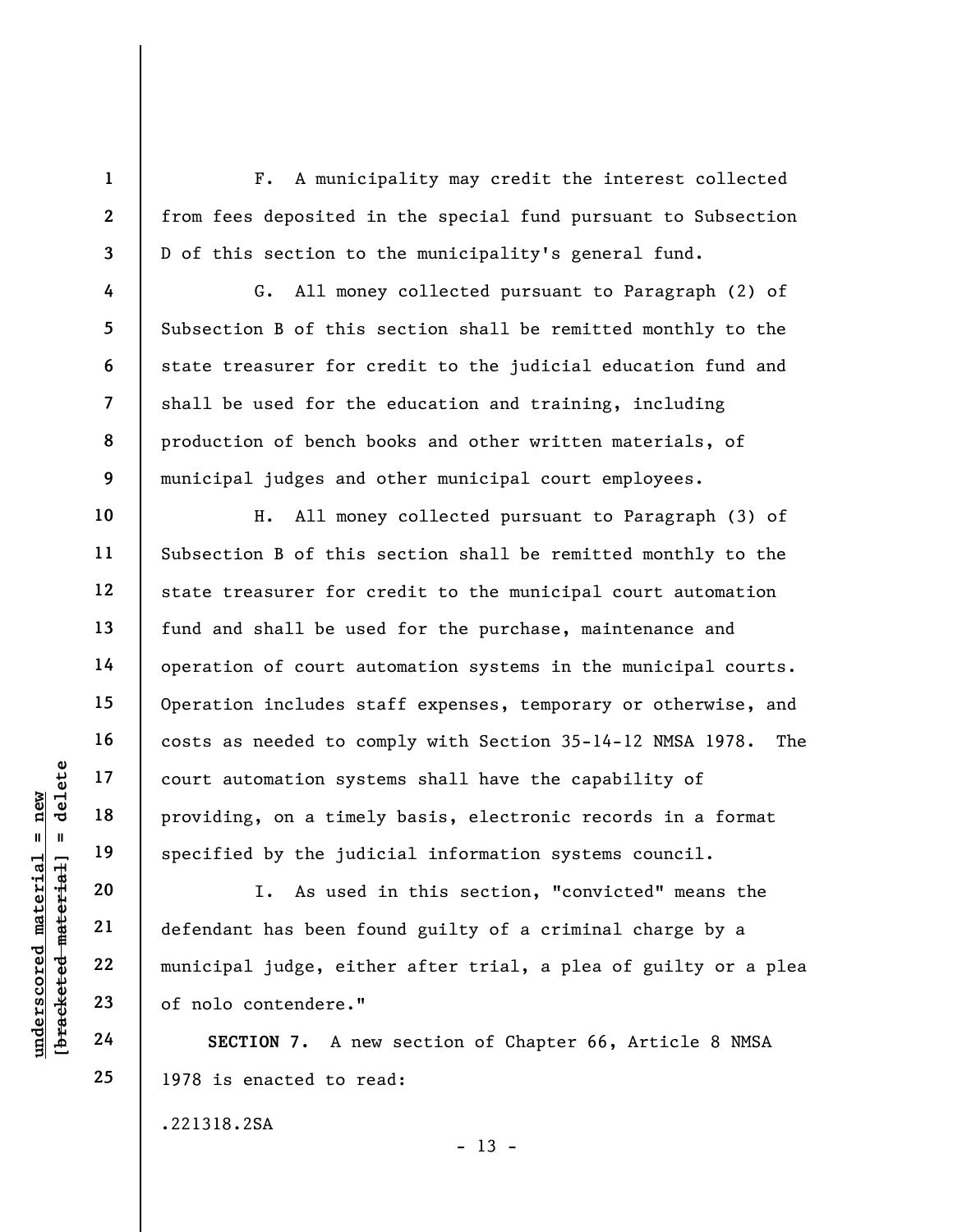F. A municipality may credit the interest collected from fees deposited in the special fund pursuant to Subsection D of this section to the municipality's general fund.

G. All money collected pursuant to Paragraph (2) of Subsection B of this section shall be remitted monthly to the state treasurer for credit to the judicial education fund and shall be used for the education and training, including production of bench books and other written materials, of municipal judges and other municipal court employees.

H. All money collected pursuant to Paragraph (3) of Subsection B of this section shall be remitted monthly to the state treasurer for credit to the municipal court automation fund and shall be used for the purchase, maintenance and operation of court automation systems in the municipal courts. Operation includes staff expenses, temporary or otherwise, and costs as needed to comply with Section 35-14-12 NMSA 1978. The court automation systems shall have the capability of providing, on a timely basis, electronic records in a format specified by the judicial information systems council.

underscored material = new [bracketed material] = delete I. As used in this section, "convicted" means the defendant has been found guilty of a criminal charge by a municipal judge, either after trial, a plea of guilty or a plea of nolo contendere."

SECTION 7. A new section of Chapter 66, Article 8 NMSA 1978 is enacted to read:

.221318.2SA

 $- 13 -$ 

1

2

3

4

5

6

7

8

9

10

11

12

13

14

15

16

17

18

19

20

21

22

23

24